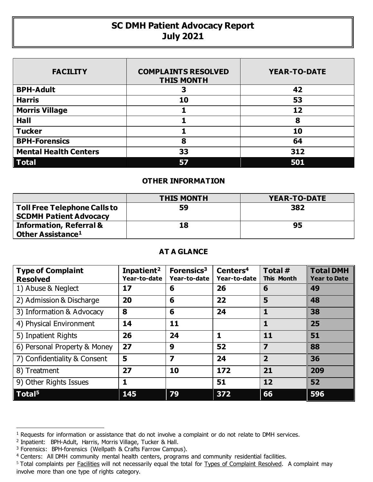## **SC DMH Patient Advocacy Report July 2021**

| <b>FACILITY</b>              | <b>COMPLAINTS RESOLVED</b><br><b>THIS MONTH</b> | <b>YEAR-TO-DATE</b> |  |  |
|------------------------------|-------------------------------------------------|---------------------|--|--|
| <b>BPH-Adult</b>             | 3                                               | 42                  |  |  |
| <b>Harris</b>                | 10                                              | 53                  |  |  |
| <b>Morris Village</b>        |                                                 | 12                  |  |  |
| Hall                         |                                                 | 8                   |  |  |
| <b>Tucker</b>                |                                                 | 10                  |  |  |
| <b>BPH-Forensics</b>         | 8                                               | 64                  |  |  |
| <b>Mental Health Centers</b> | 33                                              | 312                 |  |  |
| $\vert$ Total                |                                                 | 501                 |  |  |

## **OTHER INFORMATION**

|                                                                      | <b>THIS MONTH</b> | <b>YEAR-TO-DATE</b> |  |  |
|----------------------------------------------------------------------|-------------------|---------------------|--|--|
| <b>Toll Free Telephone Calls to</b><br><b>SCDMH Patient Advocacy</b> | 59                | 382                 |  |  |
| <b>Information, Referral &amp;</b><br>Other Assistance <sup>1</sup>  | 18                | 95                  |  |  |

## **AT A GLANCE**

| <b>Type of Complaint</b><br><b>Resolved</b> | Inpatient <sup>2</sup><br>Year-to-date | Forensics <sup>3</sup><br>Year-to-date | Centers <sup>4</sup><br>Year-to-date | Total #<br>This Month   | <b>Total DMH</b><br><b>Year to Date</b> |
|---------------------------------------------|----------------------------------------|----------------------------------------|--------------------------------------|-------------------------|-----------------------------------------|
| 1) Abuse & Neglect                          | 17                                     | 6                                      | 26                                   | 6                       | 49                                      |
| 2) Admission & Discharge                    | 20                                     | 6                                      | 22                                   | 5                       | 48                                      |
| 3) Information & Advocacy                   | 8                                      | 6                                      | 24                                   | ı                       | 38                                      |
| 4) Physical Environment                     | 14                                     | 11                                     |                                      |                         | 25                                      |
| 5) Inpatient Rights                         | 26                                     | 24                                     |                                      | 11                      | 51                                      |
| 6) Personal Property & Money                | 27                                     | 9                                      | 52                                   | $\overline{\mathbf{z}}$ | 88                                      |
| 7) Confidentiality & Consent                | 5                                      | $\overline{\mathbf{z}}$                | 24                                   | $\overline{2}$          | 36                                      |
| 8) Treatment                                | 27                                     | 10                                     | 172                                  | 21                      | 209                                     |
| 9) Other Rights Issues                      | 1                                      |                                        | 51                                   | 12                      | 52                                      |
| $\sqrt{ }$ Total <sup>5</sup>               | 145                                    | 79                                     | 372                                  | 66                      | 596                                     |

 $\overline{a}$ 

<sup>&</sup>lt;sup>1</sup> Requests for information or assistance that do not involve a complaint or do not relate to DMH services.

<sup>2</sup> Inpatient: BPH-Adult, Harris, Morris Village, Tucker & Hall.

<sup>&</sup>lt;sup>3</sup> Forensics: BPH-forensics (Wellpath & Crafts Farrow Campus).

<sup>4</sup> Centers: All DMH community mental health centers, programs and community residential facilities.

<sup>&</sup>lt;sup>5</sup> Total complaints per **Facilities** will not necessarily equal the total for Types of Complaint Resolved. A complaint may involve more than one type of rights category.